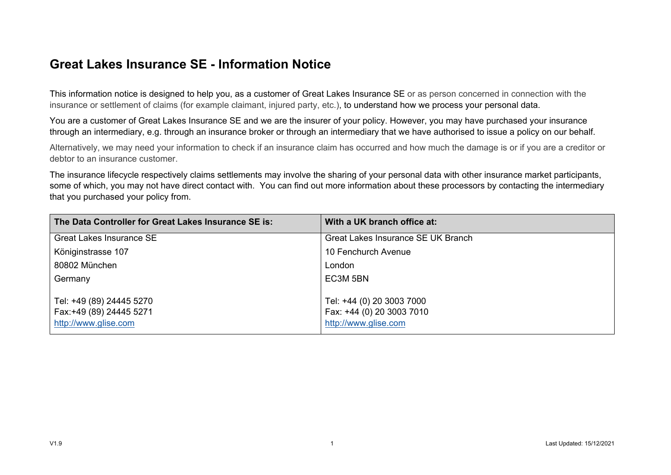## **Great Lakes Insurance SE - Information Notice**

This information notice is designed to help you, as a customer of Great Lakes Insurance SE or as person concerned in connection with the insurance or settlement of claims (for example claimant, injured party, etc.), to understand how we process your personal data.

You are a customer of Great Lakes Insurance SE and we are the insurer of your policy. However, you may have purchased your insurance through an intermediary, e.g. through an insurance broker or through an intermediary that we have authorised to issue a policy on our behalf.

Alternatively, we may need your information to check if an insurance claim has occurred and how much the damage is or if you are a creditor or debtor to an insurance customer.

The insurance lifecycle respectively claims settlements may involve the sharing of your personal data with other insurance market participants, some of which, you may not have direct contact with. You can find out more information about these processors by contacting the intermediary that you purchased your policy from.

| The Data Controller for Great Lakes Insurance SE is:                         | With a UK branch office at:                                                    |  |  |  |
|------------------------------------------------------------------------------|--------------------------------------------------------------------------------|--|--|--|
| <b>Great Lakes Insurance SE</b>                                              | Great Lakes Insurance SE UK Branch                                             |  |  |  |
| Königinstrasse 107                                                           | 10 Fenchurch Avenue                                                            |  |  |  |
| 80802 München                                                                | London                                                                         |  |  |  |
| Germany                                                                      | EC3M 5BN                                                                       |  |  |  |
| Tel: +49 (89) 24445 5270<br>Fax: +49 (89) 24445 5271<br>http://www.glise.com | Tel: +44 (0) 20 3003 7000<br>Fax: +44 (0) 20 3003 7010<br>http://www.glise.com |  |  |  |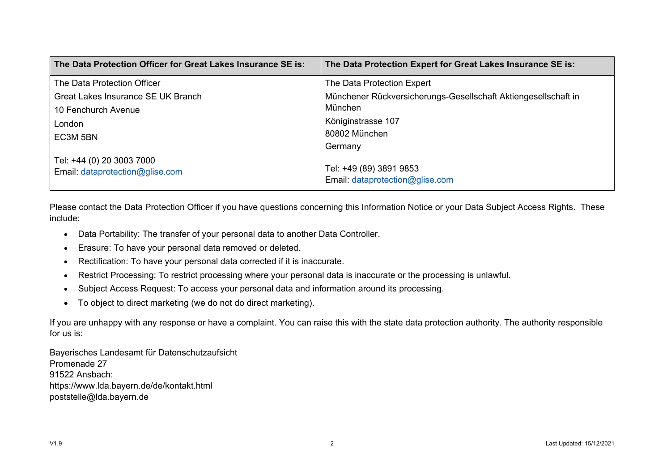| The Data Protection Officer for Great Lakes Insurance SE is: | The Data Protection Expert for Great Lakes Insurance SE is:    |
|--------------------------------------------------------------|----------------------------------------------------------------|
| The Data Protection Officer                                  | The Data Protection Expert                                     |
| Great Lakes Insurance SE UK Branch                           | Münchener Rückversicherungs-Gesellschaft Aktiengesellschaft in |
| 10 Fenchurch Avenue                                          | München                                                        |
| London                                                       | Königinstrasse 107                                             |
| EC3M 5BN                                                     | 80802 München                                                  |
|                                                              | Germany                                                        |
| Tel: +44 (0) 20 3003 7000<br>Email: dataprotection@glise.com | Tel: +49 (89) 3891 9853<br>Email: dataprotection@glise.com     |

Please contact the Data Protection Officer if you have questions concerning this Information Notice or your Data Subject Access Rights. These include:

- Data Portability: The transfer of your personal data to another Data Controller.
- Erasure: To have your personal data removed or deleted.
- Rectification: To have your personal data corrected if it is inaccurate.
- Restrict Processing: To restrict processing where your personal data is inaccurate or the processing is unlawful.
- Subject Access Request: To access your personal data and information around its processing.
- To object to direct marketing (we do not do direct marketing).

If you are unhappy with any response or have a complaint. You can raise this with the state data protection authority. The authority responsible for us is:

Bayerisches Landesamt für Datenschutzaufsicht Promenade 27 91522 Ansbach: https://www.lda.bayern.de/de/kontakt.html poststelle@lda.bayern.de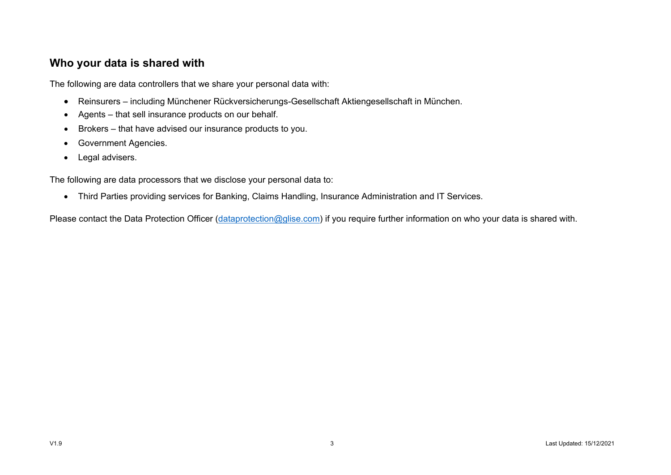#### **Who your data is shared with**

The following are data controllers that we share your personal data with:

- Reinsurers including Münchener Rückversicherungs-Gesellschaft Aktiengesellschaft in München.
- Agents that sell insurance products on our behalf.
- Brokers that have advised our insurance products to you.
- Government Agencies.
- Legal advisers.

The following are data processors that we disclose your personal data to:

• Third Parties providing services for Banking, Claims Handling, Insurance Administration and IT Services.

Please contact the Data Protection Officer [\(dataprotection@glise.com\)](mailto:dataprotection@glise.com) if you require further information on who your data is shared with.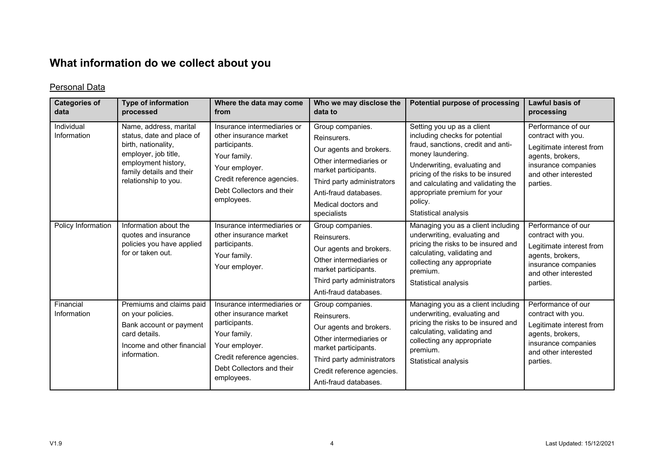# **What information do we collect about you**

#### Personal Data

| <b>Categories of</b><br>data | <b>Type of information</b><br>processed                                                                                                                                       | Where the data may come<br>from                                                                                                                                                   | Who we may disclose the<br>data to                                                                                                                                                                         | Potential purpose of processing                                                                                                                                                                                                                                                                               | Lawful basis of<br>processing                                                                                                                       |
|------------------------------|-------------------------------------------------------------------------------------------------------------------------------------------------------------------------------|-----------------------------------------------------------------------------------------------------------------------------------------------------------------------------------|------------------------------------------------------------------------------------------------------------------------------------------------------------------------------------------------------------|---------------------------------------------------------------------------------------------------------------------------------------------------------------------------------------------------------------------------------------------------------------------------------------------------------------|-----------------------------------------------------------------------------------------------------------------------------------------------------|
| Individual<br>Information    | Name, address, marital<br>status, date and place of<br>birth, nationality,<br>employer, job title,<br>employment history,<br>family details and their<br>relationship to you. | Insurance intermediaries or<br>other insurance market<br>participants.<br>Your family.<br>Your employer.<br>Credit reference agencies.<br>Debt Collectors and their<br>employees. | Group companies.<br>Reinsurers.<br>Our agents and brokers.<br>Other intermediaries or<br>market participants.<br>Third party administrators<br>Anti-fraud databases.<br>Medical doctors and<br>specialists | Setting you up as a client<br>including checks for potential<br>fraud, sanctions, credit and anti-<br>money laundering.<br>Underwriting, evaluating and<br>pricing of the risks to be insured<br>and calculating and validating the<br>appropriate premium for your<br>policy.<br><b>Statistical analysis</b> | Performance of our<br>contract with you.<br>Legitimate interest from<br>agents, brokers,<br>insurance companies<br>and other interested<br>parties. |
| Policy Information           | Information about the<br>quotes and insurance<br>policies you have applied<br>for or taken out.                                                                               | Insurance intermediaries or<br>other insurance market<br>participants.<br>Your family.<br>Your employer.                                                                          | Group companies.<br>Reinsurers.<br>Our agents and brokers.<br>Other intermediaries or<br>market participants.<br>Third party administrators<br>Anti-fraud databases.                                       | Managing you as a client including<br>underwriting, evaluating and<br>pricing the risks to be insured and<br>calculating, validating and<br>collecting any appropriate<br>premium.<br><b>Statistical analysis</b>                                                                                             | Performance of our<br>contract with you.<br>Legitimate interest from<br>agents, brokers,<br>insurance companies<br>and other interested<br>parties. |
| Financial<br>Information     | Premiums and claims paid<br>on your policies.<br>Bank account or payment<br>card details.<br>Income and other financial<br>information.                                       | Insurance intermediaries or<br>other insurance market<br>participants.<br>Your family.<br>Your employer.<br>Credit reference agencies.<br>Debt Collectors and their<br>employees. | Group companies.<br>Reinsurers.<br>Our agents and brokers.<br>Other intermediaries or<br>market participants.<br>Third party administrators<br>Credit reference agencies.<br>Anti-fraud databases.         | Managing you as a client including<br>underwriting, evaluating and<br>pricing the risks to be insured and<br>calculating, validating and<br>collecting any appropriate<br>premium.<br>Statistical analysis                                                                                                    | Performance of our<br>contract with you.<br>Legitimate interest from<br>agents, brokers,<br>insurance companies<br>and other interested<br>parties. |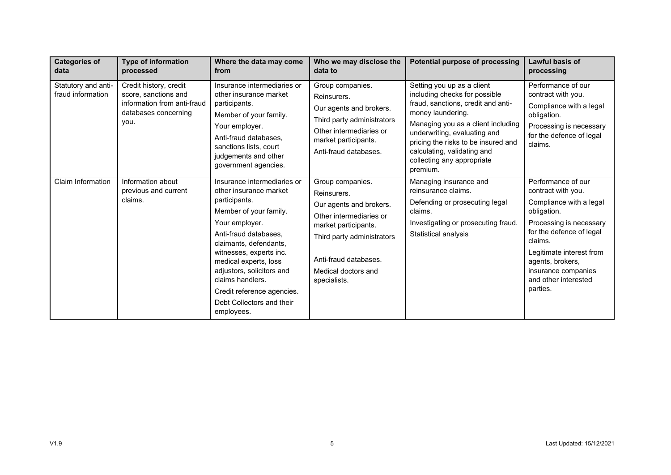| <b>Categories of</b><br>data             | <b>Type of information</b><br>processed                                                                       | Where the data may come<br>from                                                                                                                                                                                                                                                                                                                     | Who we may disclose the<br>data to                                                                                                                                                                          | Potential purpose of processing                                                                                                                                                                                                                                                                              | <b>Lawful basis of</b><br>processing                                                                                                                                                                                                                            |
|------------------------------------------|---------------------------------------------------------------------------------------------------------------|-----------------------------------------------------------------------------------------------------------------------------------------------------------------------------------------------------------------------------------------------------------------------------------------------------------------------------------------------------|-------------------------------------------------------------------------------------------------------------------------------------------------------------------------------------------------------------|--------------------------------------------------------------------------------------------------------------------------------------------------------------------------------------------------------------------------------------------------------------------------------------------------------------|-----------------------------------------------------------------------------------------------------------------------------------------------------------------------------------------------------------------------------------------------------------------|
| Statutory and anti-<br>fraud information | Credit history, credit<br>score, sanctions and<br>information from anti-fraud<br>databases concerning<br>you. | Insurance intermediaries or<br>other insurance market<br>participants.<br>Member of your family.<br>Your employer.<br>Anti-fraud databases.<br>sanctions lists, court<br>judgements and other<br>government agencies.                                                                                                                               | Group companies.<br>Reinsurers.<br>Our agents and brokers.<br>Third party administrators<br>Other intermediaries or<br>market participants.<br>Anti-fraud databases.                                        | Setting you up as a client<br>including checks for possible<br>fraud, sanctions, credit and anti-<br>money laundering.<br>Managing you as a client including<br>underwriting, evaluating and<br>pricing the risks to be insured and<br>calculating, validating and<br>collecting any appropriate<br>premium. | Performance of our<br>contract with you.<br>Compliance with a legal<br>obligation.<br>Processing is necessary<br>for the defence of legal<br>claims.                                                                                                            |
| Claim Information                        | Information about<br>previous and current<br>claims.                                                          | Insurance intermediaries or<br>other insurance market<br>participants.<br>Member of your family.<br>Your employer.<br>Anti-fraud databases.<br>claimants, defendants,<br>witnesses, experts inc.<br>medical experts, loss<br>adjustors, solicitors and<br>claims handlers.<br>Credit reference agencies.<br>Debt Collectors and their<br>employees. | Group companies.<br>Reinsurers.<br>Our agents and brokers.<br>Other intermediaries or<br>market participants.<br>Third party administrators<br>Anti-fraud databases.<br>Medical doctors and<br>specialists. | Managing insurance and<br>reinsurance claims.<br>Defending or prosecuting legal<br>claims.<br>Investigating or prosecuting fraud.<br>Statistical analysis                                                                                                                                                    | Performance of our<br>contract with you.<br>Compliance with a legal<br>obligation.<br>Processing is necessary<br>for the defence of legal<br>claims.<br>Legitimate interest from<br>agents, brokers,<br>insurance companies<br>and other interested<br>parties. |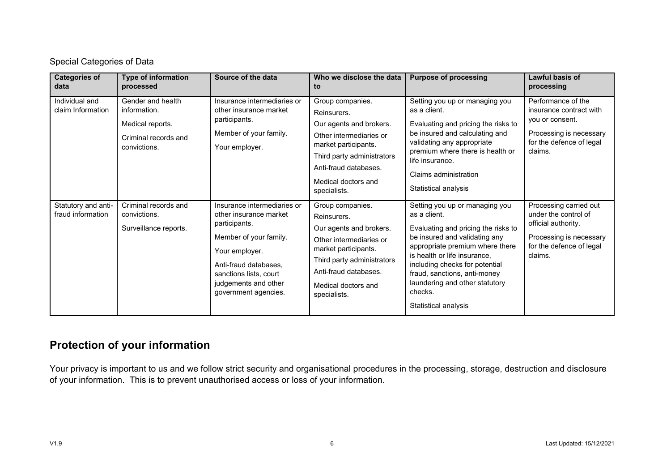#### Special Categories of Data

| <b>Categories of</b><br>data             | <b>Type of information</b><br>processed                                                       | Source of the data                                                                                                                                                                                                    | Who we disclose the data<br>to                                                                                                                                                                              | <b>Purpose of processing</b>                                                                                                                                                                                                                                                                                                     | Lawful basis of<br>processing                                                                                                           |
|------------------------------------------|-----------------------------------------------------------------------------------------------|-----------------------------------------------------------------------------------------------------------------------------------------------------------------------------------------------------------------------|-------------------------------------------------------------------------------------------------------------------------------------------------------------------------------------------------------------|----------------------------------------------------------------------------------------------------------------------------------------------------------------------------------------------------------------------------------------------------------------------------------------------------------------------------------|-----------------------------------------------------------------------------------------------------------------------------------------|
| Individual and<br>claim Information      | Gender and health<br>information.<br>Medical reports.<br>Criminal records and<br>convictions. | Insurance intermediaries or<br>other insurance market<br>participants.<br>Member of your family.<br>Your employer.                                                                                                    | Group companies.<br>Reinsurers.<br>Our agents and brokers.<br>Other intermediaries or<br>market participants.<br>Third party administrators<br>Anti-fraud databases.<br>Medical doctors and<br>specialists. | Setting you up or managing you<br>as a client.<br>Evaluating and pricing the risks to<br>be insured and calculating and<br>validating any appropriate<br>premium where there is health or<br>life insurance.<br>Claims administration<br>Statistical analysis                                                                    | Performance of the<br>insurance contract with<br>you or consent.<br>Processing is necessary<br>for the defence of legal<br>claims.      |
| Statutory and anti-<br>fraud information | Criminal records and<br>convictions.<br>Surveillance reports.                                 | Insurance intermediaries or<br>other insurance market<br>participants.<br>Member of your family.<br>Your employer.<br>Anti-fraud databases,<br>sanctions lists, court<br>judgements and other<br>government agencies. | Group companies.<br>Reinsurers.<br>Our agents and brokers.<br>Other intermediaries or<br>market participants.<br>Third party administrators<br>Anti-fraud databases.<br>Medical doctors and<br>specialists. | Setting you up or managing you<br>as a client.<br>Evaluating and pricing the risks to<br>be insured and validating any<br>appropriate premium where there<br>is health or life insurance,<br>including checks for potential<br>fraud, sanctions, anti-money<br>laundering and other statutory<br>checks.<br>Statistical analysis | Processing carried out<br>under the control of<br>official authority.<br>Processing is necessary<br>for the defence of legal<br>claims. |

# **Protection of your information**

Your privacy is important to us and we follow strict security and organisational procedures in the processing, storage, destruction and disclosure of your information. This is to prevent unauthorised access or loss of your information.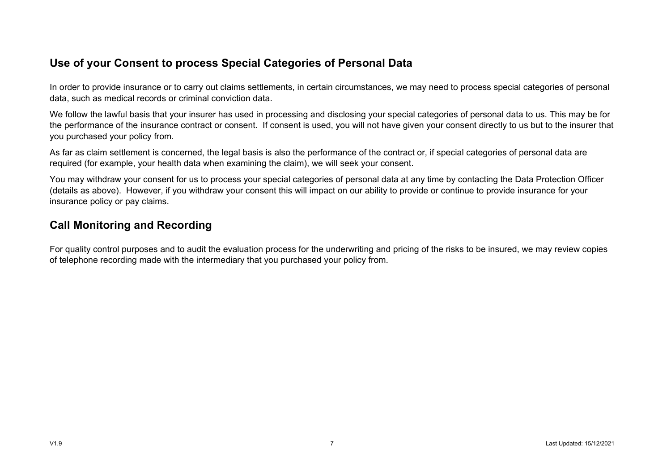### **Use of your Consent to process Special Categories of Personal Data**

In order to provide insurance or to carry out claims settlements, in certain circumstances, we may need to process special categories of personal data, such as medical records or criminal conviction data.

We follow the lawful basis that your insurer has used in processing and disclosing your special categories of personal data to us. This may be for the performance of the insurance contract or consent. If consent is used, you will not have given your consent directly to us but to the insurer that you purchased your policy from.

As far as claim settlement is concerned, the legal basis is also the performance of the contract or, if special categories of personal data are required (for example, your health data when examining the claim), we will seek your consent.

You may withdraw your consent for us to process your special categories of personal data at any time by contacting the Data Protection Officer (details as above). However, if you withdraw your consent this will impact on our ability to provide or continue to provide insurance for your insurance policy or pay claims.

#### **Call Monitoring and Recording**

For quality control purposes and to audit the evaluation process for the underwriting and pricing of the risks to be insured, we may review copies of telephone recording made with the intermediary that you purchased your policy from.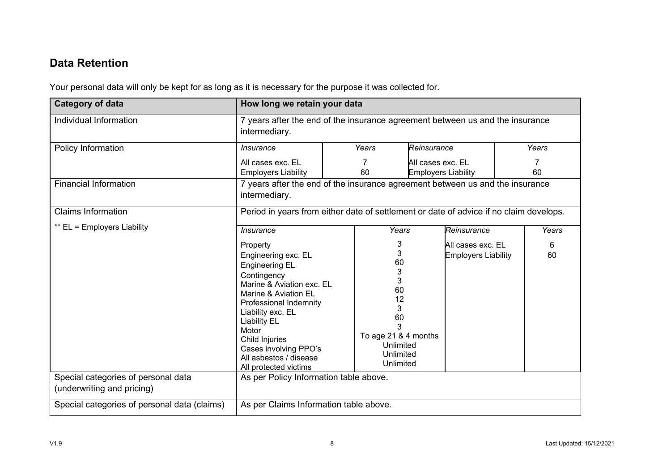# **Data Retention**

Your personal data will only be kept for as long as it is necessary for the purpose it was collected for.

| <b>Category of data</b>                                           | How long we retain your data                                                                                                                                                                                                                                                                              |  |                                                                                                                   |                                                 |                                                 |         |         |
|-------------------------------------------------------------------|-----------------------------------------------------------------------------------------------------------------------------------------------------------------------------------------------------------------------------------------------------------------------------------------------------------|--|-------------------------------------------------------------------------------------------------------------------|-------------------------------------------------|-------------------------------------------------|---------|---------|
| Individual Information                                            | 7 years after the end of the insurance agreement between us and the insurance<br>intermediary.                                                                                                                                                                                                            |  |                                                                                                                   |                                                 |                                                 |         |         |
| Policy Information                                                | <b>Insurance</b>                                                                                                                                                                                                                                                                                          |  | Years<br>Reinsurance                                                                                              |                                                 | Years                                           |         |         |
|                                                                   | All cases exc. EL<br><b>Employers Liability</b>                                                                                                                                                                                                                                                           |  | 7<br>60                                                                                                           | All cases exc. EL<br><b>Employers Liability</b> |                                                 | 7<br>60 |         |
| <b>Financial Information</b>                                      | 7 years after the end of the insurance agreement between us and the insurance<br>intermediary.                                                                                                                                                                                                            |  |                                                                                                                   |                                                 |                                                 |         |         |
| <b>Claims Information</b>                                         | Period in years from either date of settlement or date of advice if no claim develops.                                                                                                                                                                                                                    |  |                                                                                                                   |                                                 |                                                 |         |         |
| ** EL = Employers Liability                                       | <b>Insurance</b>                                                                                                                                                                                                                                                                                          |  | Years                                                                                                             |                                                 | Reinsurance                                     |         | Years   |
|                                                                   | Property<br>Engineering exc. EL<br><b>Engineering EL</b><br>Contingency<br>Marine & Aviation exc. EL<br>Marine & Aviation EL<br>Professional Indemnity<br>Liability exc. EL<br><b>Liability EL</b><br>Motor<br>Child Injuries<br>Cases involving PPO's<br>All asbestos / disease<br>All protected victims |  | 3<br>3<br>60<br>3<br>3<br>60<br>12<br>3<br>60<br>3<br>To age 21 & 4 months<br>Unlimited<br>Unlimited<br>Unlimited |                                                 | All cases exc. EL<br><b>Employers Liability</b> |         | 6<br>60 |
| Special categories of personal data<br>(underwriting and pricing) | As per Policy Information table above.                                                                                                                                                                                                                                                                    |  |                                                                                                                   |                                                 |                                                 |         |         |
| Special categories of personal data (claims)                      | As per Claims Information table above.                                                                                                                                                                                                                                                                    |  |                                                                                                                   |                                                 |                                                 |         |         |